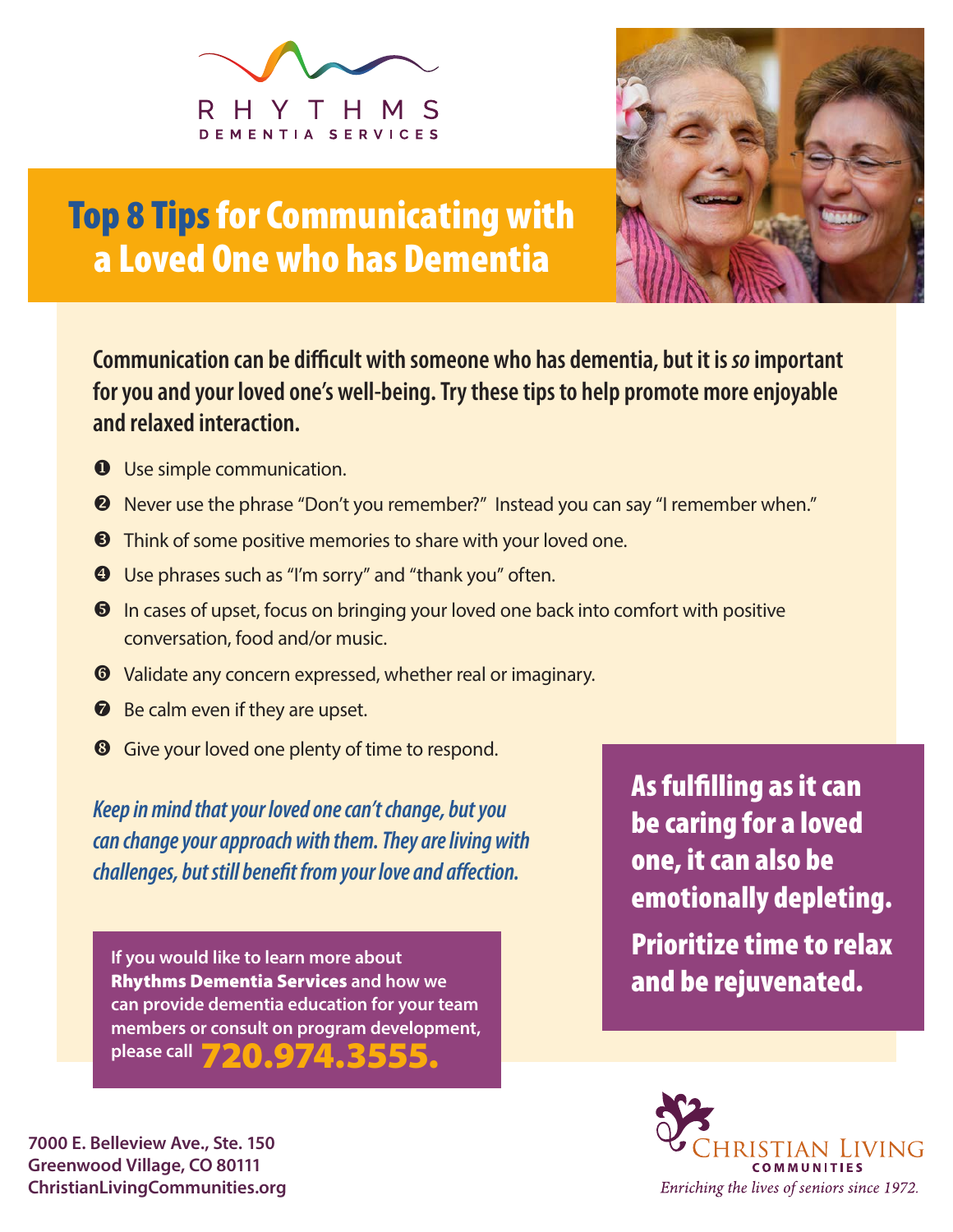



## Top 8 Tips for Communicating with a Loved One who has Dementia

**Communication can be difficult with someone who has dementia, but it is** *so* **important for you and your loved one's well-being. Try these tips to help promote more enjoyable and relaxed interaction.**

- **O** Use simple communication.
- Never use the phrase "Don't you remember?" Instead you can say "I remember when."
- **8** Think of some positive memories to share with your loved one.
- Use phrases such as "I'm sorry" and "thank you" often.
- $\Theta$  In cases of upset, focus on bringing your loved one back into comfort with positive conversation, food and/or music.
- Validate any concern expressed, whether real or imaginary.
- **B** Be calm even if they are upset.
- Give your loved one plenty of time to respond.

*Keep in mind that your loved one can't change, but you can change your approach with them. They are living with challenges, but still benefit from your love and affection.*

**If you would like to learn more about**  Rhythms Dementia Services **and how we can provide dementia education for your team members or consult on program development,**  please call **720.974** 

As fulfilling as it can be caring for a loved one, it can also be emotionally depleting. Prioritize time to relax and be rejuvenated.



**7000 E. Belleview Ave., Ste. 150 Greenwood Village, CO 80111 ChristianLivingCommunities.org**